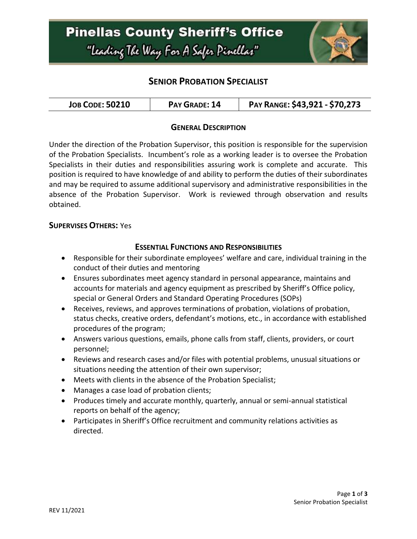

## **SENIOR PROBATION SPECIALIST**

| <b>JOB CODE: 50210</b> | PAY GRADE: 14 | PAY RANGE: \$43,921 - \$70,273 |
|------------------------|---------------|--------------------------------|
|------------------------|---------------|--------------------------------|

### **GENERAL DESCRIPTION**

Under the direction of the Probation Supervisor, this position is responsible for the supervision of the Probation Specialists. Incumbent's role as a working leader is to oversee the Probation Specialists in their duties and responsibilities assuring work is complete and accurate. This position is required to have knowledge of and ability to perform the duties of their subordinates and may be required to assume additional supervisory and administrative responsibilities in the absence of the Probation Supervisor. Work is reviewed through observation and results obtained.

#### **SUPERVISES OTHERS:** Yes

#### **ESSENTIAL FUNCTIONS AND RESPONSIBILITIES**

- Responsible for their subordinate employees' welfare and care, individual training in the conduct of their duties and mentoring
- Ensures subordinates meet agency standard in personal appearance, maintains and accounts for materials and agency equipment as prescribed by Sheriff's Office policy, special or General Orders and Standard Operating Procedures (SOPs)
- Receives, reviews, and approves terminations of probation, violations of probation, status checks, creative orders, defendant's motions, etc., in accordance with established procedures of the program;
- Answers various questions, emails, phone calls from staff, clients, providers, or court personnel;
- Reviews and research cases and/or files with potential problems, unusual situations or situations needing the attention of their own supervisor;
- Meets with clients in the absence of the Probation Specialist;
- Manages a case load of probation clients;
- Produces timely and accurate monthly, quarterly, annual or semi-annual statistical reports on behalf of the agency;
- Participates in Sheriff's Office recruitment and community relations activities as directed.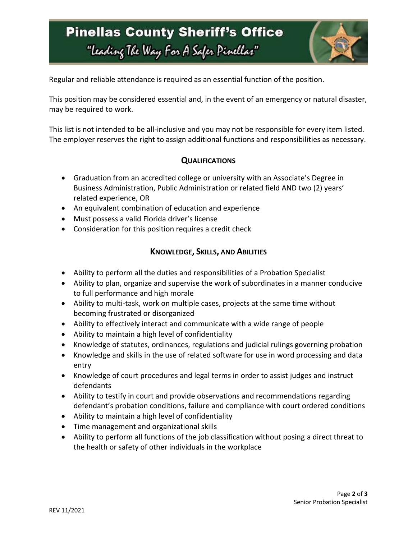# **Pinellas County Sheriff's Office** "Leading The Way For A Safer Pinellar"



Regular and reliable attendance is required as an essential function of the position.

This position may be considered essential and, in the event of an emergency or natural disaster, may be required to work.

This list is not intended to be all-inclusive and you may not be responsible for every item listed. The employer reserves the right to assign additional functions and responsibilities as necessary.

### **QUALIFICATIONS**

- Graduation from an accredited college or university with an Associate's Degree in Business Administration, Public Administration or related field AND two (2) years' related experience, OR
- An equivalent combination of education and experience
- Must possess a valid Florida driver's license
- Consideration for this position requires a credit check

### **KNOWLEDGE, SKILLS, AND ABILITIES**

- Ability to perform all the duties and responsibilities of a Probation Specialist
- Ability to plan, organize and supervise the work of subordinates in a manner conducive to full performance and high morale
- Ability to multi-task, work on multiple cases, projects at the same time without becoming frustrated or disorganized
- Ability to effectively interact and communicate with a wide range of people
- Ability to maintain a high level of confidentiality
- Knowledge of statutes, ordinances, regulations and judicial rulings governing probation
- Knowledge and skills in the use of related software for use in word processing and data entry
- Knowledge of court procedures and legal terms in order to assist judges and instruct defendants
- Ability to testify in court and provide observations and recommendations regarding defendant's probation conditions, failure and compliance with court ordered conditions
- Ability to maintain a high level of confidentiality
- Time management and organizational skills
- Ability to perform all functions of the job classification without posing a direct threat to the health or safety of other individuals in the workplace